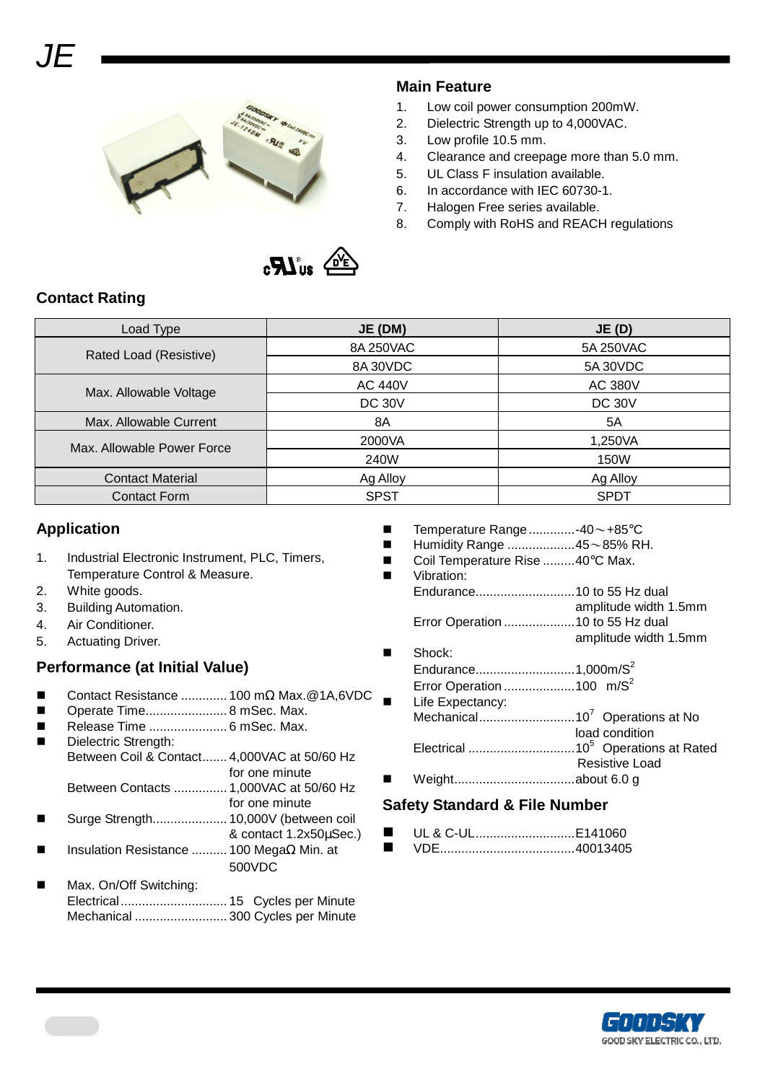

## **Main Feature**

- 1. Low coil power consumption 200mW.
- 2. Dielectric Strength up to 4,000VAC.
- 3. Low profile 10.5 mm.
- 4. Clearance and creepage more than 5.0 mm.
- 5. UL Class F insulation available.
- 6. In accordance with IEC 60730-1.
- 7. Halogen Free series available.
- 8. Comply with RoHS and REACH regulations



## **Contact Rating**

| Load Type                  | JE (DM)        | JE(D)          |
|----------------------------|----------------|----------------|
| Rated Load (Resistive)     | 8A 250VAC      | 5A 250VAC      |
|                            | 8A 30VDC       | 5A 30VDC       |
| Max. Allowable Voltage     | <b>AC 440V</b> | <b>AC 380V</b> |
|                            | <b>DC 30V</b>  | <b>DC 30V</b>  |
| Max. Allowable Current     | 8A             | 5A             |
| Max. Allowable Power Force | 2000VA         | 1,250VA        |
|                            | 240W           | 150W           |
| <b>Contact Material</b>    | Ag Alloy       | Ag Alloy       |
| <b>Contact Form</b>        | <b>SPST</b>    | <b>SPDT</b>    |

## **Application**

- 1. Industrial Electronic Instrument, PLC, Timers, Temperature Control & Measure.
- 2. White goods.
- 3. Building Automation.
- 4. Air Conditioner.
- 5. Actuating Driver.

## **Performance (at Initial Value)**

- Contact Resistance ............. 100 mΩ Max.@1A,6VDC
- Operate Time....................... 8 mSec. Max.
- Release Time ...................... 6 mSec. Max.
- Dielectric Strength: Between Coil & Contact....... 4,000VAC at 50/60 Hz for one minute Between Contacts ............... 1,000VAC at 50/60 Hz
- for one minute Surge Strength..................... 10,000V (between coil
- & contact 1.2x50µSec.) Insulation Resistance .......... 100 MegaΩ Min. at
- 500VDC
- Max. On/Off Switching: Electrical.............................. 15 Cycles per Minute Mechanical .......................... 300 Cycles per Minute
- $\blacksquare$  Temperature Range...............-40 ~ +85 °C
- Humidity Range ...................45~85% RH.
- Coil Temperature Rise .........40°C Max. Vibration:
- Endurance............................10 to 55 Hz dual amplitude width 1.5mm Error Operation ....................10 to 55 Hz dual amplitude width 1.5mm

#### Shock:

Endurance............................1,000m/S<sup>2</sup> Error Operation ........................100 m/S<sup>2</sup> Life Expectancy: Mechanical...........................10<sup>7</sup>Operations at No load condition Electrical ..............................10<sup>5</sup>Operations at Rated Resistive Load Weight..................................about 6.0 g

## **Safety Standard & File Number**

 UL & C-UL............................E141060 VDE......................................40013405